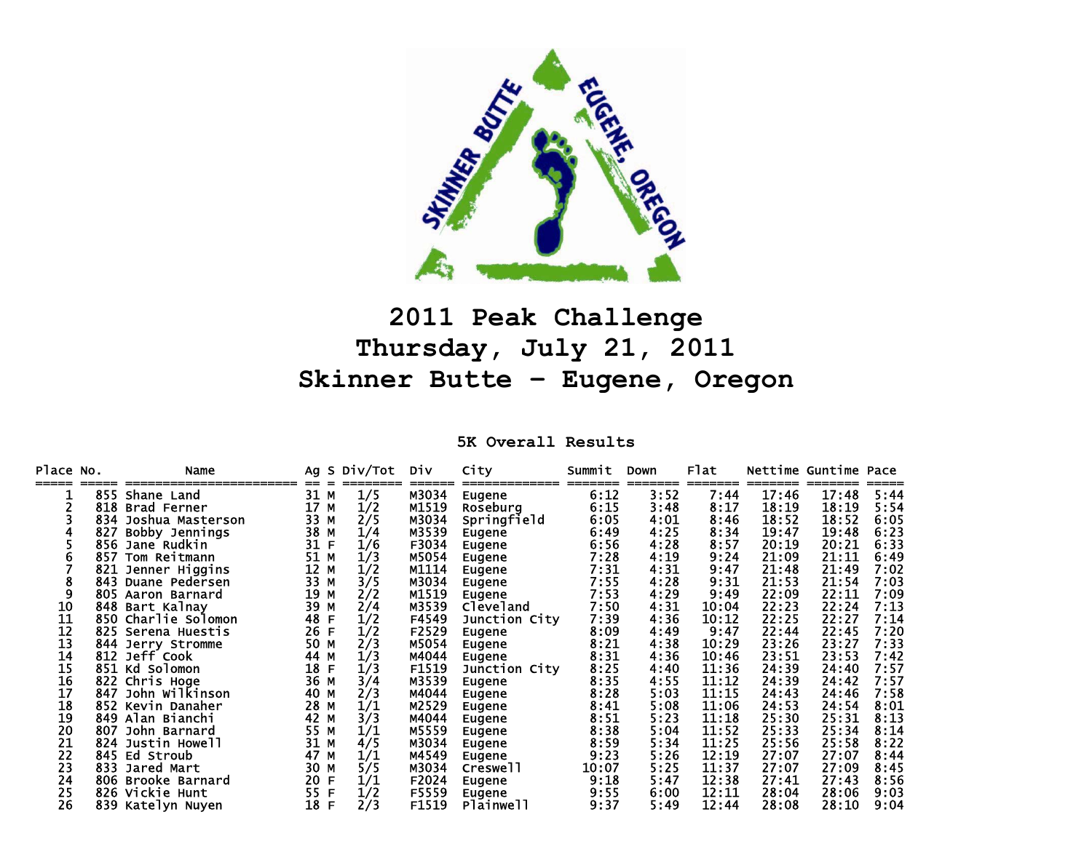

## **2011 Peak Challenge Thursday, July 21, 2011 Skinner Butte – Eugene, Oregon**

**5K Overall Results** 

| Place No. |     | Name              |      |             | Ag S Div/Tot | <b>DIV</b> | City             | Summit<br>====== | <b>Down</b><br>======= | Flat  |       | Nettime Guntime Pace |      |
|-----------|-----|-------------------|------|-------------|--------------|------------|------------------|------------------|------------------------|-------|-------|----------------------|------|
|           | 855 | Shane Land        | 31   | м           | 1/5          | M3034      | Eugene           | 6:12             | 3:52                   | 7:44  | 17:46 | 17:48                | 5:44 |
|           | 818 | Brad Ferner       | 17   | М           | 1/2          | M1519      | Roseburg         | 6:15             | 3:48                   | 8:17  | 18:19 | 18:19                | 5:54 |
|           | 834 | Joshua Masterson  | 33   | M           | 2/5          | M3034      | Springfield      | 6:05             | 4:01                   | 8:46  | 18:52 | 18:52                | 6:05 |
|           | 827 | Bobby Jennings    | 38   | М           | 1/4          | M3539      | Eugene           | 6:49             | 4:25                   | 8:34  | 19:47 | 19:48                | 6:23 |
|           | 856 | Jane Rudkin       | 31   | $\mathsf F$ | 1/6          | F3034      | Eugene           | 6:56             | 4:28                   | 8:57  | 20:19 | 20:21                | 6:33 |
|           | 857 | Tom Reitmann      | 51   | М           | 1/3          | M5054      | Eugene           | 7:28             | 4:19                   | 9:24  | 21:09 | 21:11                | 6:49 |
|           | 821 | Jenner Higgins    | 12   | M           | 1/2          | M1114      | Eugene           | 7:31             | 4:31                   | 9:47  | 21:48 | 21:49                | 7:02 |
| 8         | 843 | Duane Pedersen    | 33   | M           | 3/5          | M3034      | Eugene           | 7:55             | 4:28                   | 9:31  | 21:53 | 21:54                | 7:03 |
| 9         | 805 | Aaron Barnard     | 19   | M           | 2/2          | M1519      | Eugene           | 7:53             | 4:29                   | 9:49  | 22:09 | 22:11                | 7:09 |
| 10        | 848 | Bart Kalnay       | 39   | M           | 2/4          | M3539      | <b>Cleveland</b> | 7:50             | 4:31                   | 10:04 | 22:23 | 22:24                | 7:13 |
| 11        | 850 | Charlie Solomon   | 48   | F           | 1/2          | F4549      | Junction City    | 7:39             | 4:36                   | 10:12 | 22:25 | 22:27                | 7:14 |
| 12        | 825 | Serena Huestis    | 26   | F           | 1/2          | F2529      | Eugene           | 8:09             | 4:49                   | 9:47  | 22:44 | 22:45                | 7:20 |
| 13        |     | 844 Jerry Stromme | 50   | М           | 2/3          | M5054      | Eugene           | 8:21             | 4:38                   | 10:29 | 23:26 | 23:27                | 7:33 |
| 14        |     | 812 Jeff Cook     | 44   | М           | 1/3          | M4044      | Eugene           | 8:31             | 4:36                   | 10:46 | 23:51 | 23:53                | 7:42 |
| 15        |     | 851 Kd Solomon    | 18   | F           | 1/3          | F1519      | Junction City    | 8:25             | 4:40                   | 11:36 | 24:39 | 24:40                | 7:57 |
| 16        | 822 | Chris Hoge        | 36 M |             | 3/4          | M3539      | Eugene           | 8:35             | 4:55                   | 11:12 | 24:39 | 24:42                | 7:57 |
| 17        | 847 | John Wilkinson    | 40   | M           | 2/3          | M4044      | Eugene           | 8:28             | 5:03                   | 11:15 | 24:43 | 24:46                | 7:58 |
| 18        | 852 | Kevin Danaher     | 28   | м           | 1/1          | M2529      | Eugene           | 8:41             | 5:08                   | 11:06 | 24:53 | 24:54                | 8:01 |
| 19        |     | 849 Alan Bianchi  | 42   | М           | 3/3          | M4044      | Eugene           | 8:51             | 5:23                   | 11:18 | 25:30 | 25:31                | 8:13 |
| 20        | 807 | John Barnard      | 55   | М           | 1/1          | M5559      | Eugene           | 8:38             | 5:04                   | 11:52 | 25:33 | 25:34                | 8:14 |
| 21        | 824 | Justin Howell     | 31   | М           | 4/5          | M3034      | Eugene           | 8:59             | 5:34                   | 11:25 | 25:56 | 25:58                | 8:22 |
| 22        | 845 | Ed Stroub         | 47   | M           | 1/1          | M4549      | Eugene           | 9:23             | 5:26                   | 12:19 | 27:07 | 27:07                | 8:44 |
| 23        | 833 | Jared Mart        | 30   | М           | 5/5          | M3034      | Creswell         | 10:07            | 5:25                   | 11:37 | 27:07 | 27:09                | 8:45 |
| 24        | 806 | Brooke Barnard    | 20   | F           | 1/1          | F2024      | Eugene           | 9:18             | 5:47                   | 12:38 | 27:41 | 27:43                | 8:56 |
| 25        |     | 826 Vickie Hunt   | 55   | $\mathsf F$ | 1/2          | F5559      | Eugene           | 9:55             | 6:00                   | 12:11 | 28:04 | 28:06                | 9:03 |
| 26        |     | 839 Katelyn Nuyen | 18 F |             | 2/3          | F1519      | Plainwell        | 9:37             | 5:49                   | 12:44 | 28:08 | 28:10                | 9:04 |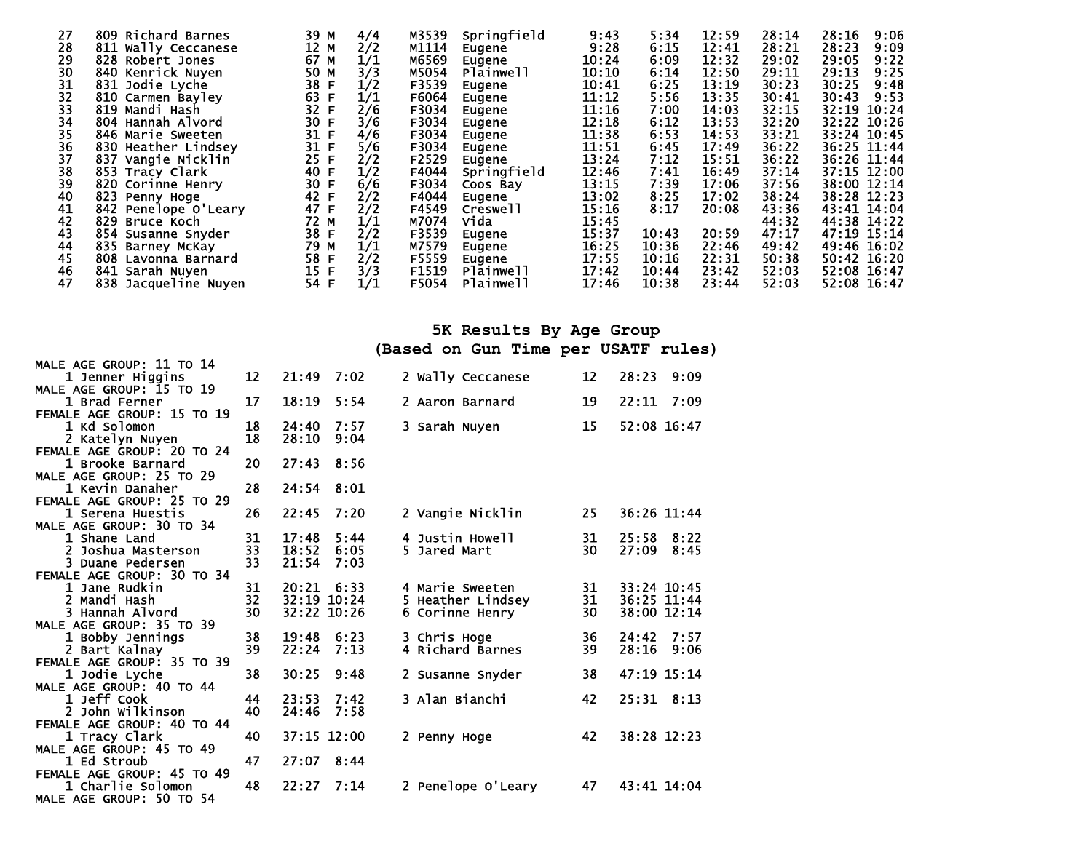| 27 | 809 Richard Barnes   | 39 M | 4/4 | M3539 | Springfield | 9:43  | 5:34  | 12:59 | 28:14 | 28:16<br>9:06 |
|----|----------------------|------|-----|-------|-------------|-------|-------|-------|-------|---------------|
| 28 | 811 Wally Ceccanese  | 12 M | 2/2 | M1114 | Eugene      | 9:28  | 6:15  | 12:41 | 28:21 | 28:23<br>9:09 |
| 29 | 828 Robert Jones     | 67 M | 1/1 | M6569 | Eugene      | 10:24 | 6:09  | 12:32 | 29:02 | 29:05<br>9:22 |
| 30 | 840 Kenrick Nuyen    | 50 M | 3/3 | M5054 | Plainwell   | 10:10 | 6:14  | 12:50 | 29:11 | 29:13<br>9:25 |
| 31 | 831 Jodie Lyche      | 38 F | 1/2 | F3539 | Eugene      | 10:41 | 6:25  | 13:19 | 30:23 | 30:25<br>9:48 |
| 32 | 810 Carmen Bayley    | 63 F | 1/1 | F6064 | Eugene      | 11:12 | 5:56  | 13:35 | 30:41 | 30:43<br>9:53 |
| 33 | 819 Mandi Hash       | 32 F | 2/6 | F3034 | Eugene      | 11:16 | 7:00  | 14:03 | 32:15 | 32:19 10:24   |
| 34 | 804 Hannah Alvord    | 30 F | 3/6 | F3034 | Eugene      | 12:18 | 6:12  | 13:53 | 32:20 | 32:22 10:26   |
| 35 | 846 Marie Sweeten    | 31 F | 4/6 | F3034 | Eugene      | 11:38 | 6:53  | 14:53 | 33:21 | 33:24 10:45   |
| 36 | 830 Heather Lindsey  | 31 F | 5/6 | F3034 | Eugene      | 11:51 | 6:45  | 17:49 | 36:22 | 36:25 11:44   |
| 37 | 837 Vangie Nicklin   | 25 F | 2/2 | F2529 | Eugene      | 13:24 | 7:12  | 15:51 | 36:22 | 36:26 11:44   |
| 38 | 853 Tracy Clark      | 40 F | 1/2 | F4044 | Springfield | 12:46 | 7:41  | 16:49 | 37:14 | 37:15 12:00   |
| 39 | 820 Corinne Henry    | 30 F | 6/6 | F3034 | Coos Bay    | 13:15 | 7:39  | 17:06 | 37:56 | 38:00 12:14   |
| 40 | 823 Penny Hoge       | 42 F | 2/2 | F4044 | Eugene      | 13:02 | 8:25  | 17:02 | 38:24 | 38:28 12:23   |
| 41 | 842 Penelope O'Leary | 47 F | 2/2 | F4549 | Creswell    | 15:16 | 8:17  | 20:08 | 43:36 | 43:41 14:04   |
| 42 | 829 Bruce Koch       | 72 M | 1/1 | M7074 | Vida        | 15:45 |       |       | 44:32 | 44:38 14:22   |
| 43 | 854 Susanne Snyder   | 38 F | 2/2 | F3539 | Eugene      | 15:37 | 10:43 | 20:59 | 47:17 | 47:19 15:14   |
| 44 | 835 Barney McKay     | 79 M | 1/1 | M7579 | Eugene      | 16:25 | 10:36 | 22:46 | 49:42 | 49:46 16:02   |
| 45 | 808 Lavonna Barnard  | 58 F | 2/2 | F5559 | Eugene      | 17:55 | 10:16 | 22:31 | 50:38 | 50:42 16:20   |
| 46 | 841 Sarah Nuyen      | 15 F | 3/3 | F1519 | Plainwell   | 17:42 | 10:44 | 23:42 | 52:03 | 52:08 16:47   |
| 47 | 838 Jacqueline Nuyen | 54 F | 1/1 | F5054 | Plainwell   | 17:46 | 10:38 | 23:44 | 52:03 | 52:08 16:47   |

## **5K Results By Age Group**

**(Based on Gun Time per USATF rules)** 

| MALE AGE GROUP: 11 TO 14   |    |             |      |                    |    |                    |
|----------------------------|----|-------------|------|--------------------|----|--------------------|
| 1 Jenner Higgins           | 12 | 21:49       | 7:02 | 2 Wally Ceccanese  | 12 | 28:23<br>9:09      |
| MALE AGE GROUP: 15 TO 19   |    |             |      |                    |    |                    |
| 1 Brad Ferner              | 17 | 18:19       | 5:54 | 2 Aaron Barnard    | 19 | 22:11<br>7:09      |
| FEMALE AGE GROUP: 15 TO 19 |    |             |      |                    |    |                    |
| 1 Kd Solomon               | 18 | 24:40       | 7:57 | 3 Sarah Nuyen      | 15 | 52:08 16:47        |
| 2 Katelyn Nuyen            | 18 | 28:10       | 9:04 |                    |    |                    |
| FEMALE AGE GROUP: 20 TO 24 |    |             |      |                    |    |                    |
| 1 Brooke Barnard           | 20 | 27:43 8:56  |      |                    |    |                    |
| MALE AGE GROUP: 25 TO 29   |    |             |      |                    |    |                    |
| 1 Kevin Danaher            | 28 | 24:54 8:01  |      |                    |    |                    |
| FEMALE AGE GROUP: 25 TO 29 |    |             |      |                    |    |                    |
| 1 Serena Huestis           | 26 | 22:45       | 7:20 | 2 Vangie Nicklin   | 25 | 36:26 11:44        |
| MALE AGE GROUP: 30 TO 34   |    |             |      |                    |    |                    |
| 1 Shane Land               | 31 | 17:48       | 5:44 | 4 Justin Howell    | 31 | 25:58<br>8:22      |
| 2 Joshua Masterson         | 33 | 18:52       | 6:05 | 5 Jared Mart       | 30 | 27:09<br>8:45      |
| 3 Duane Pedersen           | 33 | 21:54       | 7:03 |                    |    |                    |
| FEMALE AGE GROUP: 30 TO 34 |    |             |      |                    |    |                    |
| 1 Jane Rudkin              | 31 | 20:21 6:33  |      | 4 Marie Sweeten    | 31 | 33:24 10:45        |
| 2 Mandi Hash               | 32 | 32:19 10:24 |      | 5 Heather Lindsey  | 31 | 36:25 11:44        |
| 3 Hannah Alvord            | 30 | 32:22 10:26 |      | 6 Corinne Henry    | 30 | 38:00 12:14        |
| MALE AGE GROUP: 35 TO 39   |    |             |      |                    |    |                    |
| 1 Bobby Jennings           | 38 | 19:48       | 6:23 | 3 Chris Hoge       | 36 | 7:57<br>24:42      |
| 2 Bart Kalnay              | 39 | 22:24       | 7:13 | 4 Richard Barnes   | 39 | 28:16<br>9:06      |
| FEMALE AGE GROUP: 35 TO 39 |    |             |      |                    |    |                    |
| 1 Jodie Lyche              | 38 | 30:25       | 9:48 | 2 Susanne Snyder   | 38 | 47:19 15:14        |
| MALE AGE GROUP: 40 TO 44   |    |             |      |                    |    |                    |
| 1 Jeff Cook                | 44 | 23:53       | 7:42 | 3 Alan Bianchi     | 42 | $25:31 \quad 8:13$ |
| 2 John Wilkinson           | 40 | 24:46       | 7:58 |                    |    |                    |
| FEMALE AGE GROUP: 40 TO 44 |    |             |      |                    |    |                    |
| 1 Tracy Clark              | 40 | 37:15 12:00 |      | 2 Penny Hoge       | 42 | 38:28 12:23        |
| MALE AGE GROUP: 45 TO 49   |    |             |      |                    |    |                    |
| 1 Ed Stroub                | 47 | 27:07       | 8:44 |                    |    |                    |
| FEMALE AGE GROUP: 45 TO 49 |    |             |      |                    |    |                    |
| 1 Charlie Solomon          | 48 | 22:27       | 7:14 | 2 Penelope O'Leary | 47 | 43:41 14:04        |
| MALE AGE GROUP: 50 TO 54   |    |             |      |                    |    |                    |